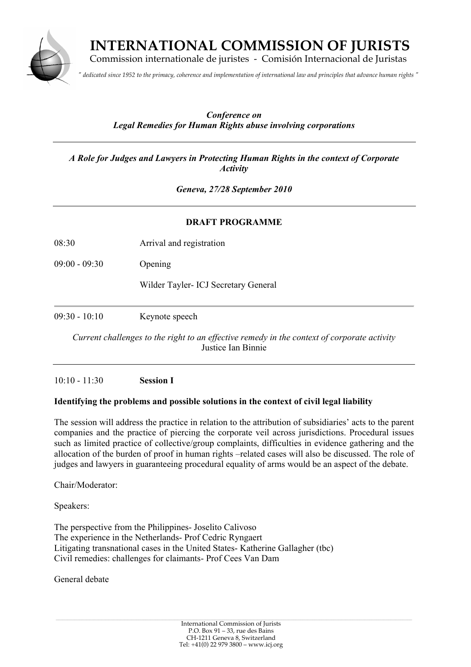

 **INTERNATIONAL COMMISSION OF JURISTS**

Commission internationale de juristes - Comisión Internacional de Juristas

*" dedicated since 1952 to the primacy, coherence and implementation of international law and principles that advance human rights "*

# *Conference on Legal Remedies for Human Rights abuse involving corporations*

*A Role for Judges and Lawyers in Protecting Human Rights in the context of Corporate Activity*

*Geneva, 27/28 September 2010*

#### **DRAFT PROGRAMME**

08:30 Arrival and registration

09:00 - 09:30 Opening

Wilder Tayler- ICJ Secretary General

09:30 - 10:10 Keynote speech

*Current challenges to the right to an effective remedy in the context of corporate activity* Justice Ian Binnie

10:10 - 11:30 **Session I**

# **Identifying the problems and possible solutions in the context of civil legal liability**

The session will address the practice in relation to the attribution of subsidiaries' acts to the parent companies and the practice of piercing the corporate veil across jurisdictions. Procedural issues such as limited practice of collective/group complaints, difficulties in evidence gathering and the allocation of the burden of proof in human rights –related cases will also be discussed. The role of judges and lawyers in guaranteeing procedural equality of arms would be an aspect of the debate.

Chair/Moderator:

Speakers:

The perspective from the Philippines- Joselito Calivoso The experience in the Netherlands- Prof Cedric Ryngaert Litigating transnational cases in the United States- Katherine Gallagher (tbc) Civil remedies: challenges for claimants- Prof Cees Van Dam

General debate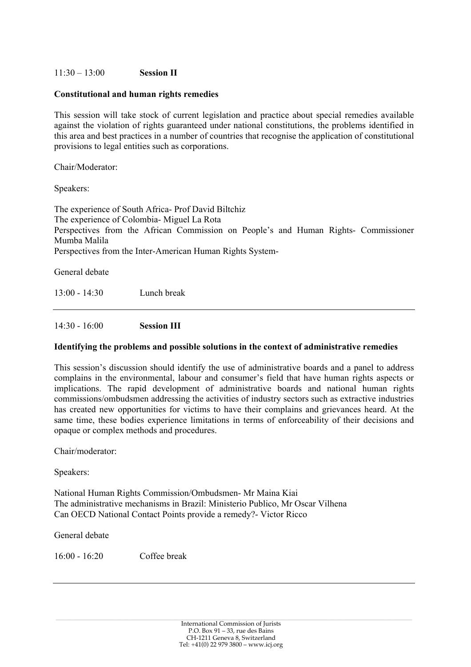# 11:30 – 13:00 **Session II**

#### **Constitutional and human rights remedies**

This session will take stock of current legislation and practice about special remedies available against the violation of rights guaranteed under national constitutions, the problems identified in this area and best practices in a number of countries that recognise the application of constitutional provisions to legal entities such as corporations.

Chair/Moderator:

Speakers:

The experience of South Africa- Prof David Biltchiz The experience of Colombia- Miguel La Rota Perspectives from the African Commission on People's and Human Rights- Commissioner Mumba Malila Perspectives from the Inter-American Human Rights System-

General debate

13:00 - 14:30 Lunch break

14:30 - 16:00 **Session III**

#### **Identifying the problems and possible solutions in the context of administrative remedies**

This session's discussion should identify the use of administrative boards and a panel to address complains in the environmental, labour and consumer's field that have human rights aspects or implications. The rapid development of administrative boards and national human rights commissions/ombudsmen addressing the activities of industry sectors such as extractive industries has created new opportunities for victims to have their complains and grievances heard. At the same time, these bodies experience limitations in terms of enforceability of their decisions and opaque or complex methods and procedures.

Chair/moderator:

Speakers:

National Human Rights Commission/Ombudsmen- Mr Maina Kiai The administrative mechanisms in Brazil: Ministerio Publico, Mr Oscar Vilhena Can OECD National Contact Points provide a remedy?- Victor Ricco

General debate

16:00 - 16:20 Coffee break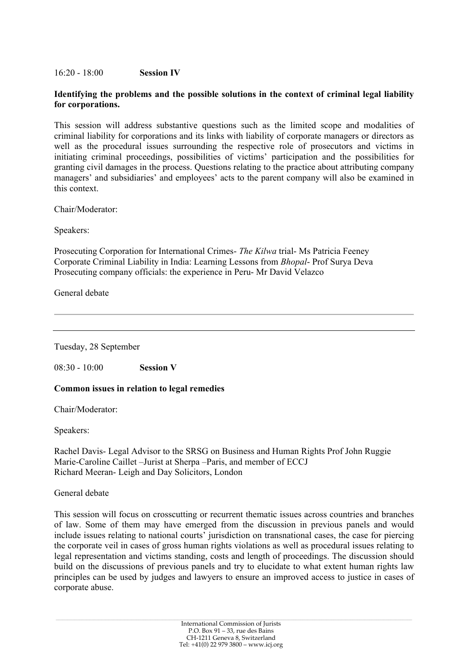#### 16:20 - 18:00 **Session IV**

# **Identifying the problems and the possible solutions in the context of criminal legal liability for corporations.**

This session will address substantive questions such as the limited scope and modalities of criminal liability for corporations and its links with liability of corporate managers or directors as well as the procedural issues surrounding the respective role of prosecutors and victims in initiating criminal proceedings, possibilities of victims' participation and the possibilities for granting civil damages in the process. Questions relating to the practice about attributing company managers' and subsidiaries' and employees' acts to the parent company will also be examined in this context.

Chair/Moderator:

Speakers:

Prosecuting Corporation for International Crimes- *The Kilwa* trial- Ms Patricia Feeney Corporate Criminal Liability in India: Learning Lessons from *Bhopal*- Prof Surya Deva Prosecuting company officials: the experience in Peru- Mr David Velazco

General debate

Tuesday, 28 September

08:30 - 10:00 **Session V**

# **Common issues in relation to legal remedies**

Chair/Moderator:

Speakers:

Rachel Davis- Legal Advisor to the SRSG on Business and Human Rights Prof John Ruggie Marie-Caroline Caillet –Jurist at Sherpa –Paris, and member of ECCJ Richard Meeran- Leigh and Day Solicitors, London

#### General debate

This session will focus on crosscutting or recurrent thematic issues across countries and branches of law. Some of them may have emerged from the discussion in previous panels and would include issues relating to national courts' jurisdiction on transnational cases, the case for piercing the corporate veil in cases of gross human rights violations as well as procedural issues relating to legal representation and victims standing, costs and length of proceedings. The discussion should build on the discussions of previous panels and try to elucidate to what extent human rights law principles can be used by judges and lawyers to ensure an improved access to justice in cases of corporate abuse.